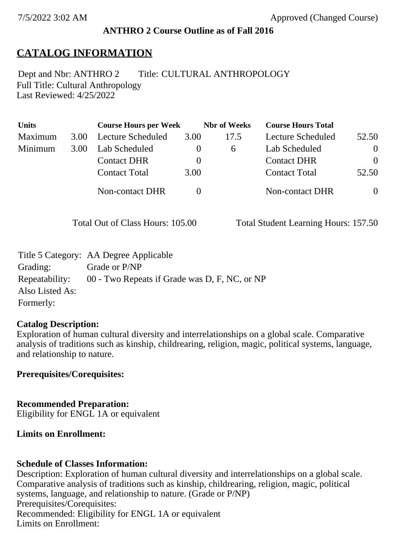### **ANTHRO 2 Course Outline as of Fall 2016**

## **CATALOG INFORMATION**

Full Title: Cultural Anthropology Last Reviewed: 4/25/2022 Dept and Nbr: ANTHRO 2 Title: CULTURAL ANTHROPOLOGY

| <b>Units</b> |      | <b>Course Hours per Week</b> |          | <b>Nbr</b> of Weeks | <b>Course Hours Total</b> |                |
|--------------|------|------------------------------|----------|---------------------|---------------------------|----------------|
| Maximum      | 3.00 | Lecture Scheduled            | 3.00     | 17.5                | Lecture Scheduled         | 52.50          |
| Minimum      | 3.00 | Lab Scheduled                | $\theta$ | 6                   | Lab Scheduled             | $\overline{0}$ |
|              |      | <b>Contact DHR</b>           | $\theta$ |                     | <b>Contact DHR</b>        | $\Omega$       |
|              |      | <b>Contact Total</b>         | 3.00     |                     | <b>Contact Total</b>      | 52.50          |
|              |      | Non-contact DHR              |          |                     | Non-contact DHR           | $\overline{0}$ |

Total Out of Class Hours: 105.00 Total Student Learning Hours: 157.50

|                 | Title 5 Category: AA Degree Applicable        |
|-----------------|-----------------------------------------------|
| Grading:        | Grade or P/NP                                 |
| Repeatability:  | 00 - Two Repeats if Grade was D, F, NC, or NP |
| Also Listed As: |                                               |
| Formerly:       |                                               |

#### **Catalog Description:**

Exploration of human cultural diversity and interrelationships on a global scale. Comparative analysis of traditions such as kinship, childrearing, religion, magic, political systems, language, and relationship to nature.

**Prerequisites/Corequisites:**

**Recommended Preparation:** Eligibility for ENGL 1A or equivalent

### **Limits on Enrollment:**

### **Schedule of Classes Information:**

Description: Exploration of human cultural diversity and interrelationships on a global scale. Comparative analysis of traditions such as kinship, childrearing, religion, magic, political systems, language, and relationship to nature. (Grade or P/NP) Prerequisites/Corequisites: Recommended: Eligibility for ENGL 1A or equivalent Limits on Enrollment: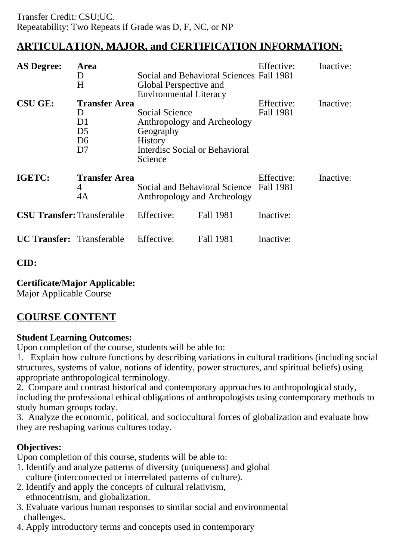# **ARTICULATION, MAJOR, and CERTIFICATION INFORMATION:**

| <b>AS Degree:</b>                 | Area<br>D<br>H                                                            | Global Perspective and<br><b>Environmental Literacy</b>                                                                          | Social and Behavioral Sciences Fall 1981                     | Effective:              | Inactive: |
|-----------------------------------|---------------------------------------------------------------------------|----------------------------------------------------------------------------------------------------------------------------------|--------------------------------------------------------------|-------------------------|-----------|
| <b>CSU GE:</b>                    | <b>Transfer Area</b><br>D<br>D1<br>D <sub>5</sub><br>D <sub>6</sub><br>D7 | <b>Social Science</b><br>Anthropology and Archeology<br>Geography<br><b>History</b><br>Interdisc Social or Behavioral<br>Science |                                                              | Effective:<br>Fall 1981 | Inactive: |
| IGETC:                            | <b>Transfer Area</b><br>4<br>4A                                           |                                                                                                                                  | Social and Behavioral Science<br>Anthropology and Archeology |                         | Inactive: |
| <b>CSU Transfer: Transferable</b> |                                                                           | Effective:                                                                                                                       | <b>Fall 1981</b>                                             | Inactive:               |           |
| <b>UC Transfer:</b> Transferable  |                                                                           | Effective:                                                                                                                       | <b>Fall 1981</b>                                             | Inactive:               |           |

### **CID:**

### **Certificate/Major Applicable:**

[Major Applicable Course](SR_ClassCheck.aspx?CourseKey=ANTHRO2)

# **COURSE CONTENT**

### **Student Learning Outcomes:**

Upon completion of the course, students will be able to:

1. Explain how culture functions by describing variations in cultural traditions (including social structures, systems of value, notions of identity, power structures, and spiritual beliefs) using appropriate anthropological terminology.

2. Compare and contrast historical and contemporary approaches to anthropological study, including the professional ethical obligations of anthropologists using contemporary methods to study human groups today.

3. Analyze the economic, political, and sociocultural forces of globalization and evaluate how they are reshaping various cultures today.

### **Objectives:**

Upon completion of this course, students will be able to:

- 1. Identify and analyze patterns of diversity (uniqueness) and global culture (interconnected or interrelated patterns of culture).
- 2. Identify and apply the concepts of cultural relativism, ethnocentrism, and globalization.
- 3. Evaluate various human responses to similar social and environmental challenges.
- 4. Apply introductory terms and concepts used in contemporary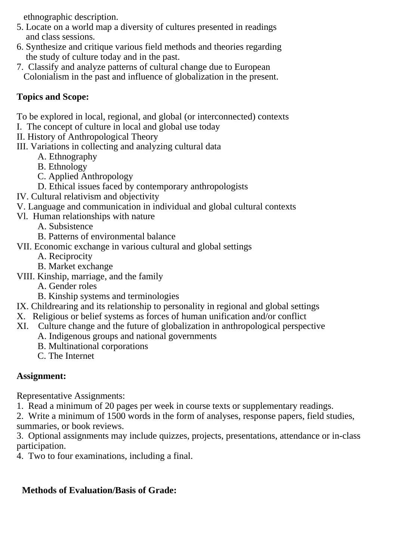ethnographic description.

- 5. Locate on a world map a diversity of cultures presented in readings and class sessions.
- 6. Synthesize and critique various field methods and theories regarding the study of culture today and in the past.
- 7. Classify and analyze patterns of cultural change due to European Colonialism in the past and influence of globalization in the present.

## **Topics and Scope:**

To be explored in local, regional, and global (or interconnected) contexts

I. The concept of culture in local and global use today

II. History of Anthropological Theory

III. Variations in collecting and analyzing cultural data

- A. Ethnography
- B. Ethnology
- C. Applied Anthropology
- D. Ethical issues faced by contemporary anthropologists
- IV. Cultural relativism and objectivity
- V. Language and communication in individual and global cultural contexts
- Vl. Human relationships with nature
	- A. Subsistence
	- B. Patterns of environmental balance
- VII. Economic exchange in various cultural and global settings
	- A. Reciprocity
	- B. Market exchange
- VIII. Kinship, marriage, and the family
	- A. Gender roles
	- B. Kinship systems and terminologies
- IX. Childrearing and its relationship to personality in regional and global settings
- X. Religious or belief systems as forces of human unification and/or conflict
- XI. Culture change and the future of globalization in anthropological perspective
	- A. Indigenous groups and national governments
		- B. Multinational corporations
		- C. The Internet

## **Assignment:**

Representative Assignments:

1. Read a minimum of 20 pages per week in course texts or supplementary readings.

2. Write a minimum of 1500 words in the form of analyses, response papers, field studies, summaries, or book reviews.

3. Optional assignments may include quizzes, projects, presentations, attendance or in-class participation.

4. Two to four examinations, including a final.

## **Methods of Evaluation/Basis of Grade:**